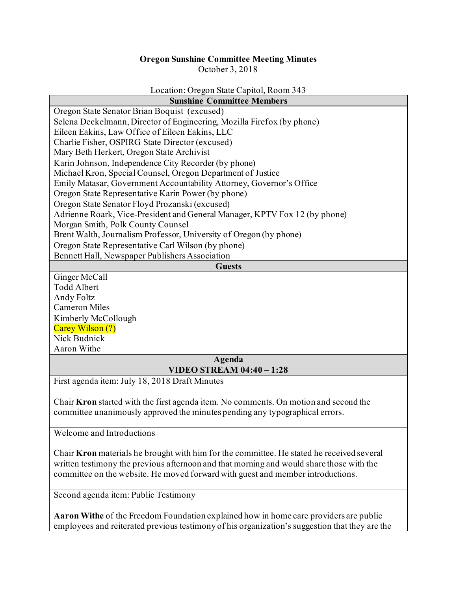## **Oregon Sunshine Committee Meeting Minutes**

October 3, 2018

## Location: Oregon State Capitol, Room 343

| <b>Sunshine Committee Members</b>                                                    |
|--------------------------------------------------------------------------------------|
| Oregon State Senator Brian Boquist (excused)                                         |
| Selena Deckelmann, Director of Engineering, Mozilla Firefox (by phone)               |
| Eileen Eakins, Law Office of Eileen Eakins, LLC                                      |
| Charlie Fisher, OSPIRG State Director (excused)                                      |
| Mary Beth Herkert, Oregon State Archivist                                            |
| Karin Johnson, Independence City Recorder (by phone)                                 |
| Michael Kron, Special Counsel, Oregon Department of Justice                          |
| Emily Matasar, Government Accountability Attorney, Governor's Office                 |
| Oregon State Representative Karin Power (by phone)                                   |
| Oregon State Senator Floyd Prozanski (excused)                                       |
| Adrienne Roark, Vice-President and General Manager, KPTV Fox 12 (by phone)           |
| Morgan Smith, Polk County Counsel                                                    |
| Brent Walth, Journalism Professor, University of Oregon (by phone)                   |
| Oregon State Representative Carl Wilson (by phone)                                   |
| Bennett Hall, Newspaper Publishers Association                                       |
| <b>Guests</b>                                                                        |
| Ginger McCall                                                                        |
| <b>Todd Albert</b>                                                                   |
| Andy Foltz                                                                           |
| <b>Cameron Miles</b>                                                                 |
| Kimberly McCollough                                                                  |
| Carey Wilson (?)                                                                     |
| Nick Budnick                                                                         |
| Aaron Withe                                                                          |
| Agenda                                                                               |
| <b>VIDEO STREAM 04:40 - 1:28</b>                                                     |
| First agenda item: July 18, 2018 Draft Minutes                                       |
| Chair Kron started with the first agenda item. No comments. On motion and second the |
| committee unanimously approved the minutes pending any typographical errors.         |
| Welcome and Introductions                                                            |

Chair **Kron** materials he brought with him for the committee. He stated he received several written testimony the previous afternoon and that morning and would share those with the committee on the website. He moved forward with guest and member introductions.

Second agenda item: Public Testimony

**Aaron Withe** of the Freedom Foundation explained how in home care providers are public employees and reiterated previous testimony of his organization's suggestion that they are the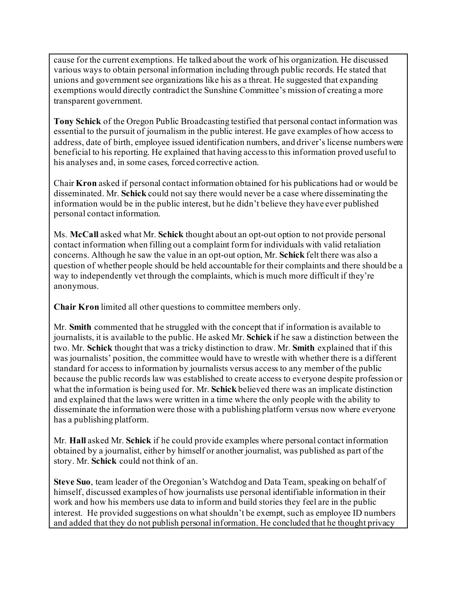cause for the current exemptions. He talked about the work of his organization. He discussed various ways to obtain personal information including through public records. He stated that unions and government see organizations like his as a threat. He suggested that expanding exemptions would directly contradict the Sunshine Committee's mission of creating a more transparent government.

**Tony Schick** of the Oregon Public Broadcasting testified that personal contact information was essential to the pursuit of journalism in the public interest. He gave examples of how access to address, date of birth, employee issued identification numbers, and driver's license numbers were beneficial to his reporting. He explained that having access to this information proved useful to his analyses and, in some cases, forced corrective action.

Chair **Kron** asked if personal contact information obtained for his publications had or would be disseminated. Mr. **Schick** could not say there would never be a case where disseminating the information would be in the public interest, but he didn't believe they have ever published personal contact information.

Ms. **McCall** asked what Mr. **Schick** thought about an opt-out option to not provide personal contact information when filling out a complaint form for individuals with valid retaliation concerns. Although he saw the value in an opt-out option, Mr. **Schick** felt there was also a question of whether people should be held accountable for their complaints and there should be a way to independently vet through the complaints, which is much more difficult if they're anonymous.

**Chair Kron** limited all other questions to committee members only.

Mr. **Smith** commented that he struggled with the concept that if information is available to journalists, it is available to the public. He asked Mr. **Schick** if he saw a distinction between the two. Mr. **Schick** thought that was a tricky distinction to draw. Mr. **Smith** explained that if this was journalists' position, the committee would have to wrestle with whether there is a different standard for access to information by journalists versus access to any member of the public because the public records law was established to create access to everyone despite profession or what the information is being used for. Mr. **Schick** believed there was an implicate distinction and explained that the laws were written in a time where the only people with the ability to disseminate the information were those with a publishing platform versus now where everyone has a publishing platform.

Mr. **Hall** asked Mr. **Schick** if he could provide examples where personal contact information obtained by a journalist, either by himself or another journalist, was published as part of the story. Mr. **Schick** could not think of an.

**Steve Suo**, team leader of the Oregonian's Watchdog and Data Team, speaking on behalf of himself, discussed examples of how journalists use personal identifiable information in their work and how his members use data to inform and build stories they feel are in the public interest. He provided suggestions on what shouldn't be exempt, such as employee ID numbers and added that they do not publish personal information. He concluded that he thought privacy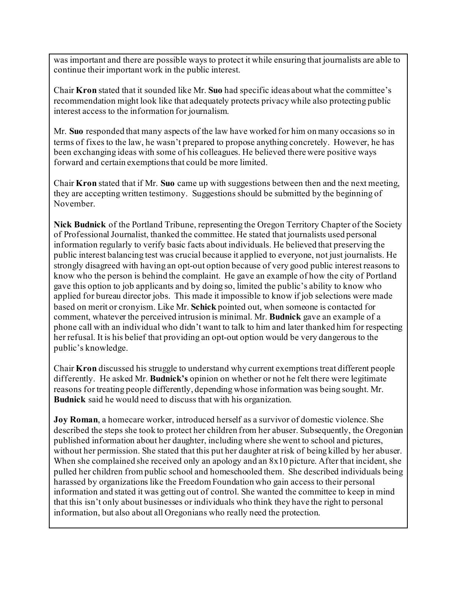was important and there are possible ways to protect it while ensuring that journalists are able to continue their important work in the public interest.

Chair **Kron** stated that it sounded like Mr. **Suo** had specific ideas about what the committee's recommendation might look like that adequately protects privacy while also protecting public interest access to the information for journalism.

Mr. **Suo** responded that many aspects of the law have worked for him on many occasions so in terms of fixes to the law, he wasn't prepared to propose anything concretely. However, he has been exchanging ideas with some of his colleagues. He believed there were positive ways forward and certain exemptions that could be more limited.

Chair **Kron** stated that if Mr. **Suo** came up with suggestions between then and the next meeting, they are accepting written testimony. Suggestions should be submitted by the beginning of November.

**Nick Budnick** of the Portland Tribune, representing the Oregon Territory Chapter of the Society of Professional Journalist, thanked the committee. He stated that journalists used personal information regularly to verify basic facts about individuals. He believed that preserving the public interest balancing test was crucial because it applied to everyone, not just journalists. He strongly disagreed with having an opt-out option because of very good public interest reasons to know who the person is behind the complaint. He gave an example of how the city of Portland gave this option to job applicants and by doing so, limited the public's ability to know who applied for bureau director jobs. This made it impossible to know if job selections were made based on merit or cronyism. Like Mr. **Schick** pointed out, when someone is contacted for comment, whatever the perceived intrusion is minimal. Mr. **Budnick** gave an example of a phone call with an individual who didn't want to talk to him and later thanked him for respecting her refusal. It is his belief that providing an opt-out option would be very dangerous to the public's knowledge.

Chair **Kron** discussed his struggle to understand why current exemptions treat different people differently. He asked Mr. **Budnick's** opinion on whether or not he felt there were legitimate reasons for treating people differently, depending whose information was being sought. Mr. **Budnick** said he would need to discuss that with his organization.

**Joy Roman**, a homecare worker, introduced herself as a survivor of domestic violence. She described the steps she took to protect her children from her abuser. Subsequently, the Oregonian published information about her daughter, including where she went to school and pictures, without her permission. She stated that this put her daughter at risk of being killed by her abuser. When she complained she received only an apology and an 8x10 picture. After that incident, she pulled her children from public school and homeschooled them. She described individuals being harassed by organizations like the Freedom Foundation who gain access to their personal information and stated it was getting out of control. She wanted the committee to keep in mind that this isn't only about businesses or individuals who think they have the right to personal information, but also about all Oregonians who really need the protection.